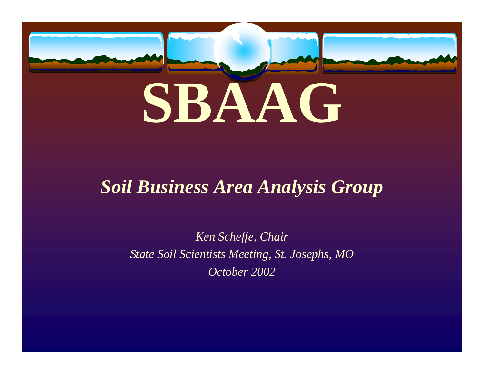

### *Soil Business Area Analysis Group*

*Ken Scheffe, Chair State Soil Scientists Meeting, St. Josephs, MO October 2002*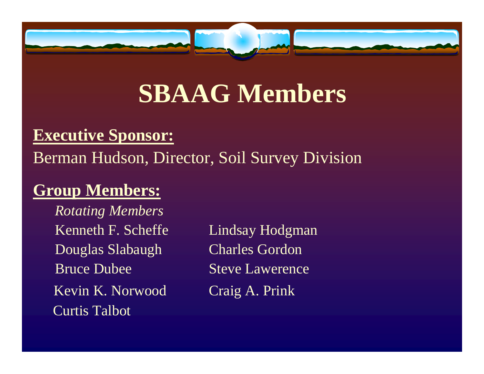

## **SBAAG Members**

#### **Executive Sponsor:**

### Berman Hudson, Director, Soil Survey Division

### **Group Members:**

*Rotating Members* Kenneth F. Scheffe Lindsay Hodgman Douglas Slabaugh Charles Gordon Bruce Dubee Steve Lawerence Kevin K. Norwood Craig A. Prink Curtis Talbot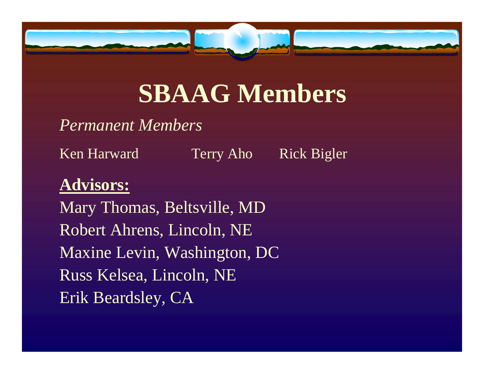

## **SBAAG Members**

#### *Permanent Members*

Ken Harward Terry Aho Rick Bigler

### **Advisors:**

Mary Thomas, Beltsville, MD Robert Ahrens, Lincoln, NE Maxine Levin, Washington, DC Russ Kelsea, Lincoln, NE Erik Beardsley, CA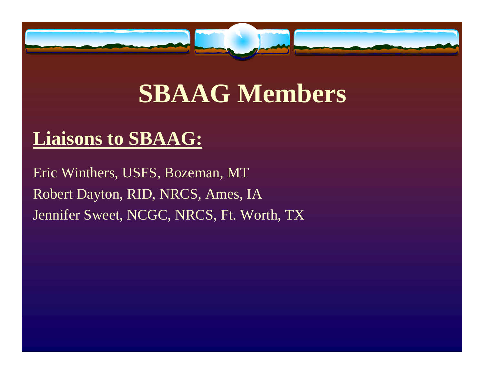

## **SBAAG Members**

### **Liaisons to SBAAG:**

Eric Winthers, USFS, Bozeman, MT Robert Dayton, RID, NRCS, Ames, IA Jennifer Sweet, NCGC, NRCS, Ft. Worth, TX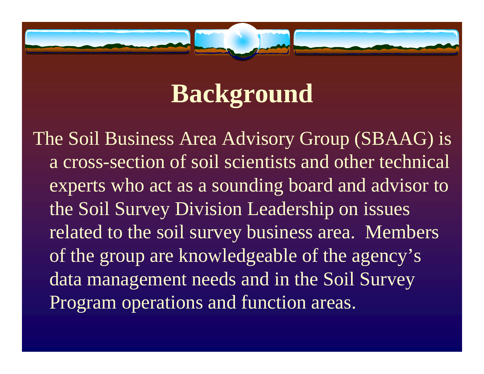

The Soil Business Area Advisory Group (SBAAG) is a cross-section of soil scientists and other technical experts who act as a sounding board and advisor to the Soil Survey Division Leadership on issues related to the soil survey business area. Members of the group are knowledgeable of the agency's data management needs and in the Soil Survey Program operations and function areas.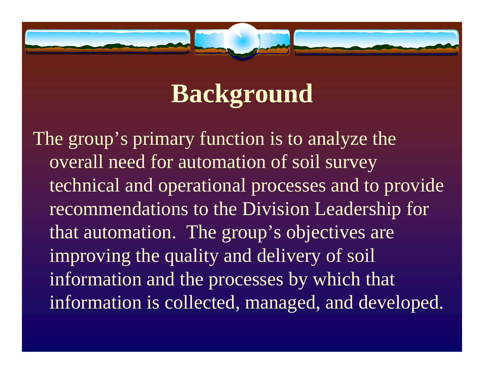

The group's primary function is to analyze the overall need for automation of soil survey technical and operational processes and to provide recommendations to the Division Leadership for that automation. The group's objectives are improving the quality and delivery of soil information and the processes by which that information is collected, managed, and developed.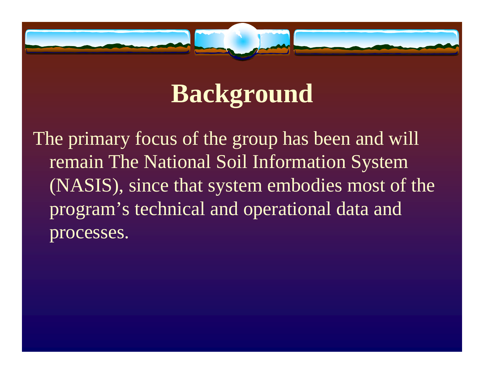

The primary focus of the group has been and will remain The National Soil Information System (NASIS), since that system embodies most of the program's technical and operational data and processes.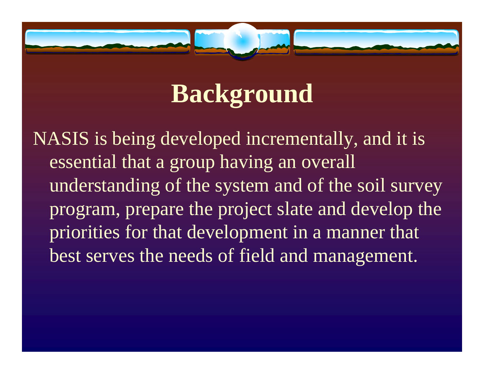

NASIS is being developed incrementally, and it is essential that a group having an overall understanding of the system and of the soil survey program, prepare the project slate and develop the priorities for that development in a manner that best serves the needs of field and management.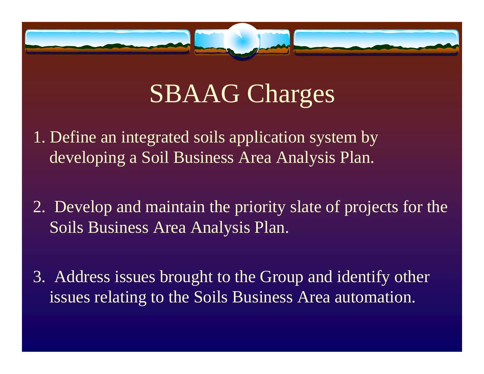

# SBAAG Charges

- 1. Define an integrated soils application system by developing a Soil Business Area Analysis Plan.
- 2. Develop and maintain the priority slate of projects for the Soils Business Area Analysis Plan.
- 3. Address issues brought to the Group and identify other issues relating to the Soils Business Area automation.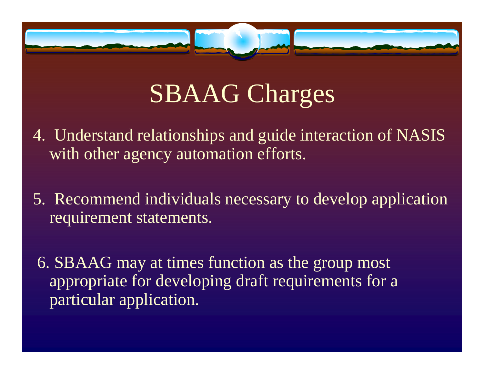

# SBAAG Charges

- 4. Understand relationships and guide interaction of NASIS with other agency automation efforts.
- 5. Recommend individuals necessary to develop application requirement statements.
- 6. SBAAG may at times function as the group most appropriate for developing draft requirements for a particular application.